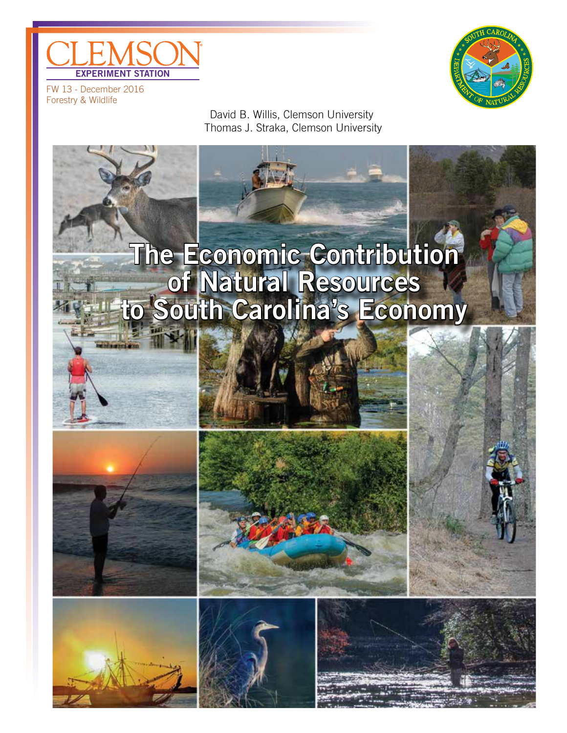



FW 13 - December 2016 Forestry & Wildlife

> David B. Willis, Clemson University Thomas J. Straka, Clemson University

# The Economic Contribution of Natural Resources to South Carolina's Economy









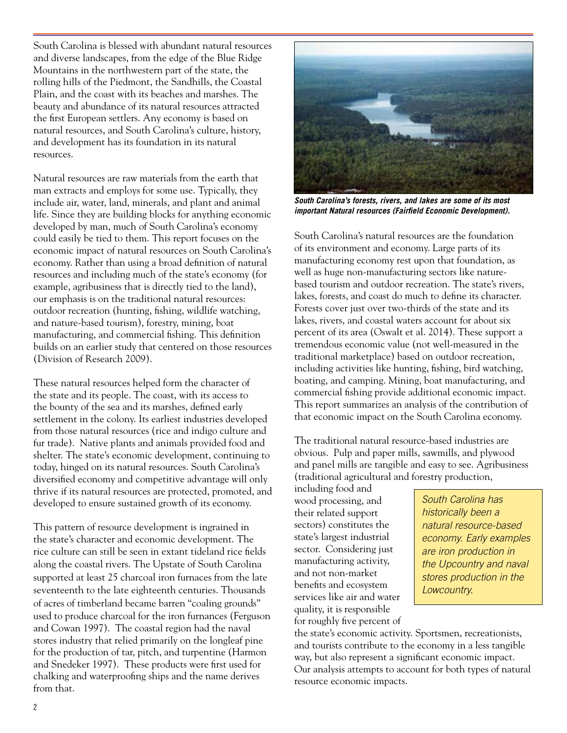South Carolina is blessed with abundant natural resources and diverse landscapes, from the edge of the Blue Ridge Mountains in the northwestern part of the state, the rolling hills of the Piedmont, the Sandhills, the Coastal Plain, and the coast with its beaches and marshes. The beauty and abundance of its natural resources attracted the first European settlers. Any economy is based on natural resources, and South Carolina's culture, history, and development has its foundation in its natural resources.

Natural resources are raw materials from the earth that man extracts and employs for some use. Typically, they include air, water, land, minerals, and plant and animal life. Since they are building blocks for anything economic developed by man, much of South Carolina's economy could easily be tied to them. This report focuses on the economic impact of natural resources on South Carolina's economy. Rather than using a broad definition of natural resources and including much of the state's economy (for example, agribusiness that is directly tied to the land), our emphasis is on the traditional natural resources: outdoor recreation (hunting, fishing, wildlife watching, and nature-based tourism), forestry, mining, boat manufacturing, and commercial fishing. This definition builds on an earlier study that centered on those resources (Division of Research 2009).

These natural resources helped form the character of the state and its people. The coast, with its access to the bounty of the sea and its marshes, defined early settlement in the colony. Its earliest industries developed from those natural resources (rice and indigo culture and fur trade). Native plants and animals provided food and shelter. The state's economic development, continuing to today, hinged on its natural resources. South Carolina's diversified economy and competitive advantage will only thrive if its natural resources are protected, promoted, and developed to ensure sustained growth of its economy.

This pattern of resource development is ingrained in the state's character and economic development. The rice culture can still be seen in extant tideland rice fields along the coastal rivers. The Upstate of South Carolina supported at least 25 charcoal iron furnaces from the late seventeenth to the late eighteenth centuries. Thousands of acres of timberland became barren "coaling grounds" used to produce charcoal for the iron furnances (Ferguson and Cowan 1997). The coastal region had the naval stores industry that relied primarily on the longleaf pine for the production of tar, pitch, and turpentine (Harmon and Snedeker 1997). These products were first used for chalking and waterproofing ships and the name derives from that.



*South Carolina's forests, rivers, and lakes are some of its most important Natural resources (Fairfield Economic Development).* 

South Carolina's natural resources are the foundation of its environment and economy. Large parts of its manufacturing economy rest upon that foundation, as well as huge non-manufacturing sectors like naturebased tourism and outdoor recreation. The state's rivers, lakes, forests, and coast do much to define its character. Forests cover just over two-thirds of the state and its lakes, rivers, and coastal waters account for about six percent of its area (Oswalt et al. 2014). These support a tremendous economic value (not well-measured in the traditional marketplace) based on outdoor recreation, including activities like hunting, fishing, bird watching, boating, and camping. Mining, boat manufacturing, and commercial fishing provide additional economic impact. This report summarizes an analysis of the contribution of that economic impact on the South Carolina economy.

The traditional natural resource-based industries are obvious. Pulp and paper mills, sawmills, and plywood and panel mills are tangible and easy to see. Agribusiness (traditional agricultural and forestry production,

including food and wood processing, and their related support sectors) constitutes the state's largest industrial sector. Considering just manufacturing activity, and not non-market benefits and ecosystem services like air and water quality, it is responsible for roughly five percent of

*South Carolina has historically been a natural resource-based economy. Early examples are iron production in the Upcountry and naval stores production in the Lowcountry.*

the state's economic activity. Sportsmen, recreationists, and tourists contribute to the economy in a less tangible way, but also represent a significant economic impact. Our analysis attempts to account for both types of natural resource economic impacts.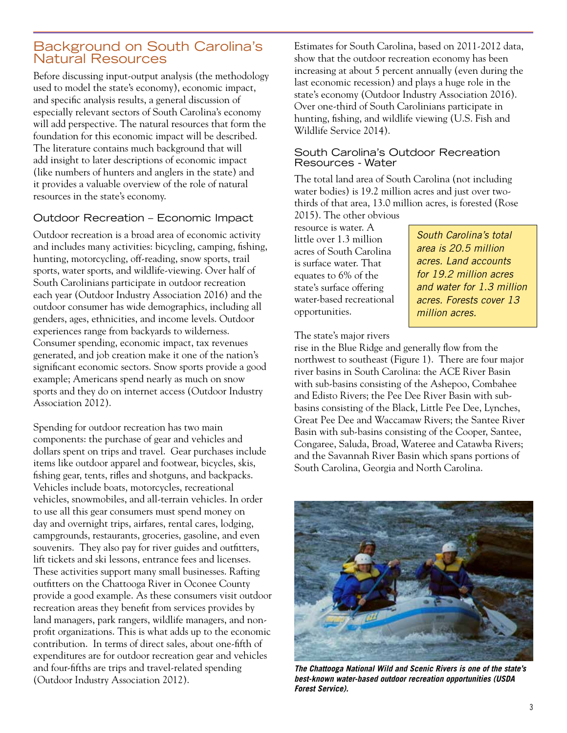# Background on South Carolina's Natural Resources

Before discussing input-output analysis (the methodology used to model the state's economy), economic impact, and specific analysis results, a general discussion of especially relevant sectors of South Carolina's economy will add perspective. The natural resources that form the foundation for this economic impact will be described. The literature contains much background that will add insight to later descriptions of economic impact (like numbers of hunters and anglers in the state) and it provides a valuable overview of the role of natural resources in the state's economy.

# Outdoor Recreation – Economic Impact

Outdoor recreation is a broad area of economic activity and includes many activities: bicycling, camping, fishing, hunting, motorcycling, off-reading, snow sports, trail sports, water sports, and wildlife-viewing. Over half of South Carolinians participate in outdoor recreation each year (Outdoor Industry Association 2016) and the outdoor consumer has wide demographics, including all genders, ages, ethnicities, and income levels. Outdoor experiences range from backyards to wilderness. Consumer spending, economic impact, tax revenues generated, and job creation make it one of the nation's significant economic sectors. Snow sports provide a good example; Americans spend nearly as much on snow sports and they do on internet access (Outdoor Industry Association 2012).

Spending for outdoor recreation has two main components: the purchase of gear and vehicles and dollars spent on trips and travel. Gear purchases include items like outdoor apparel and footwear, bicycles, skis, fishing gear, tents, rifles and shotguns, and backpacks. Vehicles include boats, motorcycles, recreational vehicles, snowmobiles, and all-terrain vehicles. In order to use all this gear consumers must spend money on day and overnight trips, airfares, rental cares, lodging, campgrounds, restaurants, groceries, gasoline, and even souvenirs. They also pay for river guides and outfitters, lift tickets and ski lessons, entrance fees and licenses. These activities support many small businesses. Rafting outfitters on the Chattooga River in Oconee County provide a good example. As these consumers visit outdoor recreation areas they benefit from services provides by land managers, park rangers, wildlife managers, and nonprofit organizations. This is what adds up to the economic contribution. In terms of direct sales, about one-fifth of expenditures are for outdoor recreation gear and vehicles and four-fifths are trips and travel-related spending (Outdoor Industry Association 2012).

Estimates for South Carolina, based on 2011-2012 data, show that the outdoor recreation economy has been increasing at about 5 percent annually (even during the last economic recession) and plays a huge role in the state's economy (Outdoor Industry Association 2016). Over one-third of South Carolinians participate in hunting, fishing, and wildlife viewing (U.S. Fish and Wildlife Service 2014).

#### South Carolina's Outdoor Recreation Resources - Water

The total land area of South Carolina (not including water bodies) is 19.2 million acres and just over twothirds of that area, 13.0 million acres, is forested (Rose

2015). The other obvious resource is water. A little over 1.3 million acres of South Carolina is surface water. That equates to 6% of the state's surface offering water-based recreational opportunities.

*South Carolina's total area is 20.5 million acres. Land accounts for 19.2 million acres and water for 1.3 million acres. Forests cover 13 million acres.*

The state's major rivers

rise in the Blue Ridge and generally flow from the northwest to southeast (Figure 1). There are four major river basins in South Carolina: the ACE River Basin with sub-basins consisting of the Ashepoo, Combahee and Edisto Rivers; the Pee Dee River Basin with subbasins consisting of the Black, Little Pee Dee, Lynches, Great Pee Dee and Waccamaw Rivers; the Santee River Basin with sub-basins consisting of the Cooper, Santee, Congaree, Saluda, Broad, Wateree and Catawba Rivers; and the Savannah River Basin which spans portions of South Carolina, Georgia and North Carolina.



*The Chattooga National Wild and Scenic Rivers is one of the state's best-known water-based outdoor recreation opportunities (USDA Forest Service).*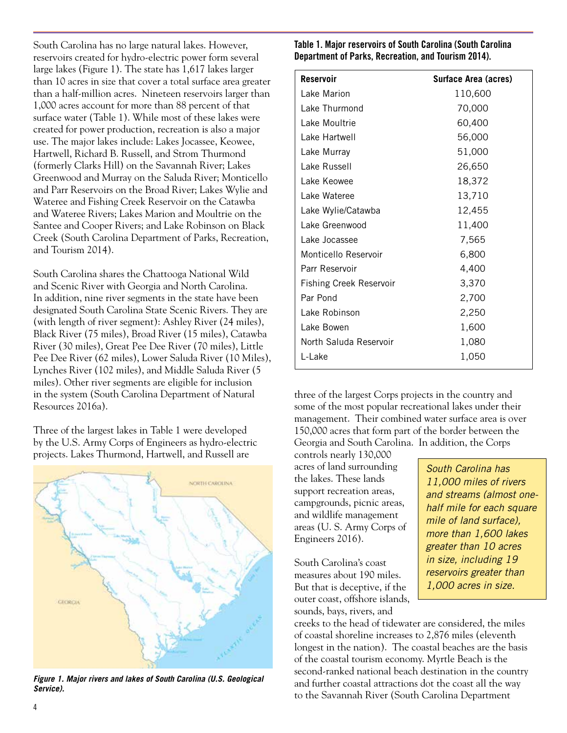South Carolina has no large natural lakes. However, reservoirs created for hydro-electric power form several large lakes (Figure 1). The state has 1,617 lakes larger than 10 acres in size that cover a total surface area greater than a half-million acres. Nineteen reservoirs larger than 1,000 acres account for more than 88 percent of that surface water (Table 1). While most of these lakes were created for power production, recreation is also a major use. The major lakes include: Lakes Jocassee, Keowee, Hartwell, Richard B. Russell, and Strom Thurmond (formerly Clarks Hill) on the Savannah River; Lakes Greenwood and Murray on the Saluda River; Monticello and Parr Reservoirs on the Broad River; Lakes Wylie and Wateree and Fishing Creek Reservoir on the Catawba and Wateree Rivers; Lakes Marion and Moultrie on the Santee and Cooper Rivers; and Lake Robinson on Black Creek (South Carolina Department of Parks, Recreation, and Tourism 2014).

South Carolina shares the Chattooga National Wild and Scenic River with Georgia and North Carolina. In addition, nine river segments in the state have been designated South Carolina State Scenic Rivers. They are (with length of river segment): Ashley River (24 miles), Black River (75 miles), Broad River (15 miles), Catawba River (30 miles), Great Pee Dee River (70 miles), Little Pee Dee River (62 miles), Lower Saluda River (10 Miles), Lynches River (102 miles), and Middle Saluda River (5 miles). Other river segments are eligible for inclusion in the system (South Carolina Department of Natural Resources 2016a).

Three of the largest lakes in Table 1 were developed by the U.S. Army Corps of Engineers as hydro-electric projects. Lakes Thurmond, Hartwell, and Russell are



*Figure 1. Major rivers and lakes of South Carolina (U.S. Geological Service).*

Table 1. Major reservoirs of South Carolina (South Carolina Department of Parks, Recreation, and Tourism 2014).

| <b>Reservoir</b>               | Surface Area (acres) |
|--------------------------------|----------------------|
| Lake Marion                    | 110,600              |
| Lake Thurmond                  | 70,000               |
| Lake Moultrie                  | 60,400               |
| Lake Hartwell                  | 56,000               |
| Lake Murray                    | 51,000               |
| Lake Russell                   | 26,650               |
| Lake Keowee                    | 18,372               |
| Lake Wateree                   | 13,710               |
| Lake Wylie/Catawba             | 12,455               |
| Lake Greenwood                 | 11,400               |
| Lake Jocassee                  | 7,565                |
| Monticello Reservoir           | 6,800                |
| Parr Reservoir                 | 4,400                |
| <b>Fishing Creek Reservoir</b> | 3,370                |
| Par Pond                       | 2,700                |
| Lake Robinson                  | 2,250                |
| Lake Bowen                     | 1,600                |
| North Saluda Reservoir         | 1,080                |
| L-Lake                         | 1,050                |

three of the largest Corps projects in the country and some of the most popular recreational lakes under their management. Their combined water surface area is over 150,000 acres that form part of the border between the Georgia and South Carolina. In addition, the Corps

controls nearly 130,000 acres of land surrounding the lakes. These lands support recreation areas, campgrounds, picnic areas, and wildlife management areas (U. S. Army Corps of Engineers 2016).

South Carolina's coast measures about 190 miles. But that is deceptive, if the outer coast, offshore islands, sounds, bays, rivers, and

*South Carolina has 11,000 miles of rivers and streams (almost onehalf mile for each square mile of land surface), more than 1,600 lakes greater than 10 acres in size, including 19 reservoirs greater than 1,000 acres in size.*

creeks to the head of tidewater are considered, the miles of coastal shoreline increases to 2,876 miles (eleventh longest in the nation). The coastal beaches are the basis of the coastal tourism economy. Myrtle Beach is the second-ranked national beach destination in the country and further coastal attractions dot the coast all the way to the Savannah River (South Carolina Department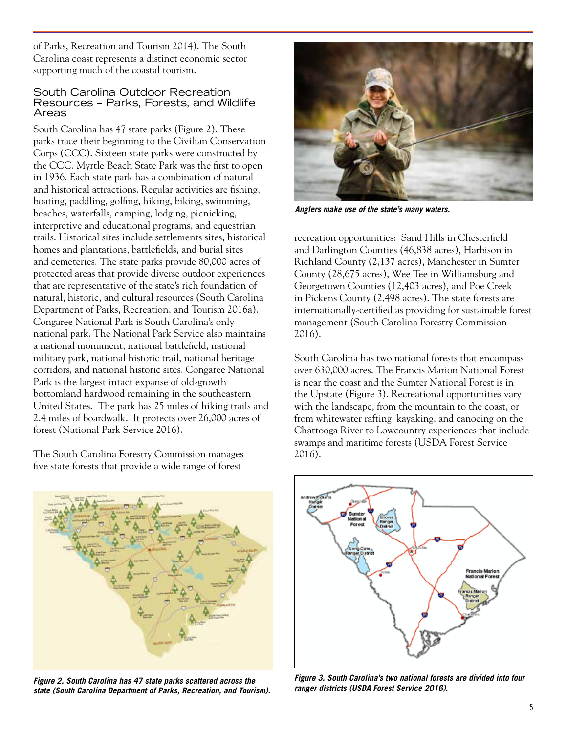of Parks, Recreation and Tourism 2014). The South Carolina coast represents a distinct economic sector supporting much of the coastal tourism.

#### South Carolina Outdoor Recreation Resources – Parks, Forests, and Wildlife Areas

South Carolina has 47 state parks (Figure 2). These parks trace their beginning to the Civilian Conservation Corps (CCC). Sixteen state parks were constructed by the CCC. Myrtle Beach State Park was the first to open in 1936. Each state park has a combination of natural and historical attractions. Regular activities are fishing, boating, paddling, golfing, hiking, biking, swimming, beaches, waterfalls, camping, lodging, picnicking, interpretive and educational programs, and equestrian trails. Historical sites include settlements sites, historical homes and plantations, battlefields, and burial sites and cemeteries. The state parks provide 80,000 acres of protected areas that provide diverse outdoor experiences that are representative of the state's rich foundation of natural, historic, and cultural resources (South Carolina Department of Parks, Recreation, and Tourism 2016a). Congaree National Park is South Carolina's only national park. The National Park Service also maintains a national monument, national battlefield, national military park, national historic trail, national heritage corridors, and national historic sites. Congaree National Park is the largest intact expanse of old-growth bottomland hardwood remaining in the southeastern United States. The park has 25 miles of hiking trails and 2.4 miles of boardwalk. It protects over 26,000 acres of forest (National Park Service 2016).

The South Carolina Forestry Commission manages five state forests that provide a wide range of forest



*Figure 2. South Carolina has 47 state parks scattered across the state (South Carolina Department of Parks, Recreation, and Tourism).*



*Anglers make use of the state's many waters.*

recreation opportunities: Sand Hills in Chesterfield and Darlington Counties (46,838 acres), Harbison in Richland County (2,137 acres), Manchester in Sumter County (28,675 acres), Wee Tee in Williamsburg and Georgetown Counties (12,403 acres), and Poe Creek in Pickens County (2,498 acres). The state forests are internationally-certified as providing for sustainable forest management (South Carolina Forestry Commission 2016).

South Carolina has two national forests that encompass over 630,000 acres. The Francis Marion National Forest is near the coast and the Sumter National Forest is in the Upstate (Figure 3). Recreational opportunities vary with the landscape, from the mountain to the coast, or from whitewater rafting, kayaking, and canoeing on the Chattooga River to Lowcountry experiences that include swamps and maritime forests (USDA Forest Service 2016).



*Figure 3. South Carolina's two national forests are divided into four ranger districts (USDA Forest Service 2016).*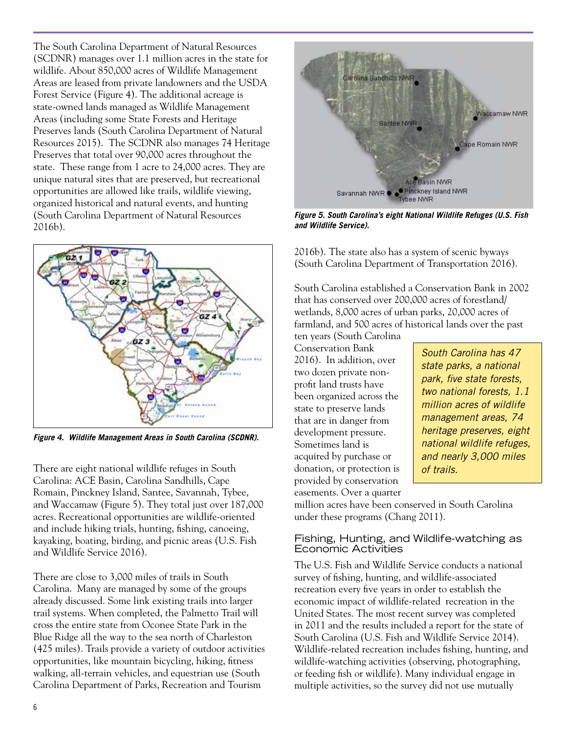The South Carolina Department of Natural Resources (SCDNR) manages over 1.1 million acres in the state for wildlife. About 850,000 acres of Wildlife Management Areas are leased from private landowners and the USDA Forest Service (Figure 4). The additional acreage is state-owned lands managed as Wildlife Management Areas (including some State Forests and Heritage Preserves lands (South Carolina Department of Natural Resources 2015). The SCDNR also manages 74 Heritage Preserves that total over 90,000 acres throughout the state. These range from 1 acre to 24,000 acres. They are unique natural sites that are preserved, but recreational opportunities are allowed like trails, wildlife viewing, organized historical and natural events, and hunting (South Carolina Department of Natural Resources 2016b).



*Figure 4. Wildlife Management Areas in South Carolina (SCDNR).*

There are eight national wildlife refuges in South *of trails. of trails.* Carolina: ACE Basin, Carolina Sandhills, Cape Romain, Pinckney Island, Santee, Savannah, Tybee, and Waccamaw (Figure 5). They total just over 187,000 acres. Recreational opportunities are wildlife-oriented and include hiking trials, hunting, fishing, canoeing, kayaking, boating, birding, and picnic areas (U.S. Fish and Wildlife Service 2016).

There are close to 3,000 miles of trails in South Carolina. Many are managed by some of the groups already discussed. Some link existing trails into larger trail systems. When completed, the Palmetto Trail will cross the entire state from Oconee State Park in the Blue Ridge all the way to the sea north of Charleston (425 miles). Trails provide a variety of outdoor activities opportunities, like mountain bicycling, hiking, fitness walking, all-terrain vehicles, and equestrian use (South Carolina Department of Parks, Recreation and Tourism



*Figure 5. South Carolina's eight National Wildlife Refuges (U.S. Fish and Wildlife Service).*

2016b). The state also has a system of scenic byways (South Carolina Department of Transportation 2016).

South Carolina established a Conservation Bank in 2002 that has conserved over 200,000 acres of forestland/ wetlands, 8,000 acres of urban parks, 20,000 acres of farmland, and 500 acres of historical lands over the past

ten years (South Carolina Conservation Bank 2016). In addition, over two dozen private nonprofit land trusts have been organized across the state to preserve lands that are in danger from development pressure. Sometimes land is acquired by purchase or donation, or protection is provided by conservation easements. Over a quarter

*South Carolina has 47 state parks, a national park, five state forests, two national forests, 1.1 million acres of wildlife management areas, 74 heritage preserves, eight national wildlife refuges, and nearly 3,000 miles* 

million acres have been conserved in South Carolina under these programs (Chang 2011).

#### Fishing, Hunting, and Wildlife-watching as Economic Activities

The U.S. Fish and Wildlife Service conducts a national survey of fishing, hunting, and wildlife-associated recreation every five years in order to establish the economic impact of wildlife-related recreation in the United States. The most recent survey was completed in 2011 and the results included a report for the state of South Carolina (U.S. Fish and Wildlife Service 2014). Wildlife-related recreation includes fishing, hunting, and wildlife-watching activities (observing, photographing, or feeding fish or wildlife). Many individual engage in multiple activities, so the survey did not use mutually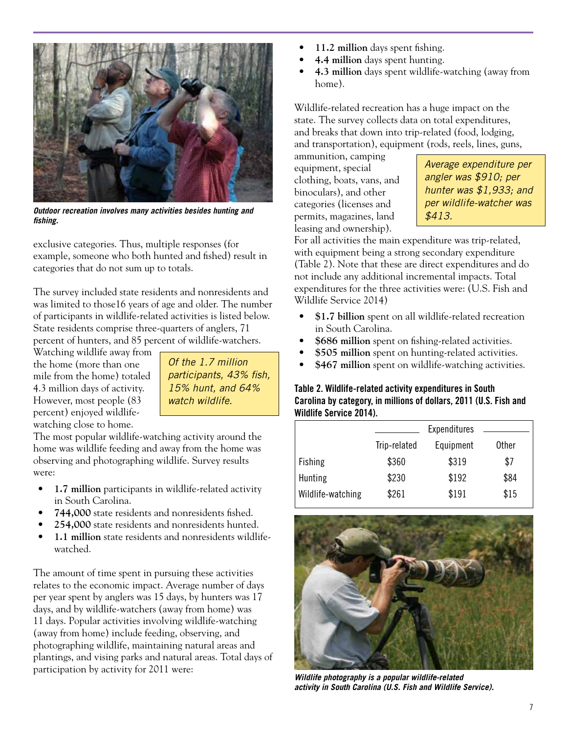

*Outdoor recreation involves many activities besides hunting and fishing.*

exclusive categories. Thus, multiple responses (for example, someone who both hunted and fished) result in categories that do not sum up to totals.

The survey included state residents and nonresidents and was limited to those16 years of age and older. The number of participants in wildlife-related activities is listed below. State residents comprise three-quarters of anglers, 71 percent of hunters, and 85 percent of wildlife-watchers.

Watching wildlife away from the home (more than one mile from the home) totaled 4.3 million days of activity. However, most people (83 percent) enjoyed wildlifewatching close to home.

*Of the 1.7 million participants, 43% fish, 15% hunt, and 64% watch wildlife.*

The most popular wildlife-watching activity around the home was wildlife feeding and away from the home was observing and photographing wildlife. Survey results were:

- **• 1.7 million** participants in wildlife-related activity in South Carolina.
- **• 744,000** state residents and nonresidents fished.
- **• 254,000** state residents and nonresidents hunted.
- **• 1.1 million** state residents and nonresidents wildlifewatched.

The amount of time spent in pursuing these activities relates to the economic impact. Average number of days per year spent by anglers was 15 days, by hunters was 17 days, and by wildlife-watchers (away from home) was 11 days. Popular activities involving wildlife-watching (away from home) include feeding, observing, and photographing wildlife, maintaining natural areas and plantings, and vising parks and natural areas. Total days of participation by activity for 2011 were:

- **• 11.2 million** days spent fishing.
- **• 4.4 million** days spent hunting.
- **• 4.3 million** days spent wildlife-watching (away from home).

Wildlife-related recreation has a huge impact on the state. The survey collects data on total expenditures, and breaks that down into trip-related (food, lodging, and transportation), equipment (rods, reels, lines, guns,

ammunition, camping equipment, special clothing, boats, vans, and binoculars), and other categories (licenses and permits, magazines, land leasing and ownership).

*Average expenditure per angler was \$910; per hunter was \$1,933; and per wildlife-watcher was \$413.*

For all activities the main expenditure was trip-related, with equipment being a strong secondary expenditure (Table 2). Note that these are direct expenditures and do not include any additional incremental impacts. Total expenditures for the three activities were: (U.S. Fish and Wildlife Service 2014)

- **• \$1.7 billion** spent on all wildlife-related recreation in South Carolina.
- **• \$686 million** spent on fishing-related activities.
- **• \$505 million** spent on hunting-related activities.
- **• \$467 million** spent on wildlife-watching activities.

## Table 2. Wildlife-related activity expenditures in South Carolina by category, in millions of dollars, 2011 (U.S. Fish and Wildlife Service 2014).

|                   |              | Expenditures |       |
|-------------------|--------------|--------------|-------|
|                   | Trip-related | Equipment    | Other |
| Fishing           | \$360        | \$319        | \$7   |
| Hunting           | \$230        | \$192        | \$84  |
| Wildlife-watching | \$261        | \$191        | \$15  |



*Wildlife photography is a popular wildlife-related activity in South Carolina (U.S. Fish and Wildlife Service).*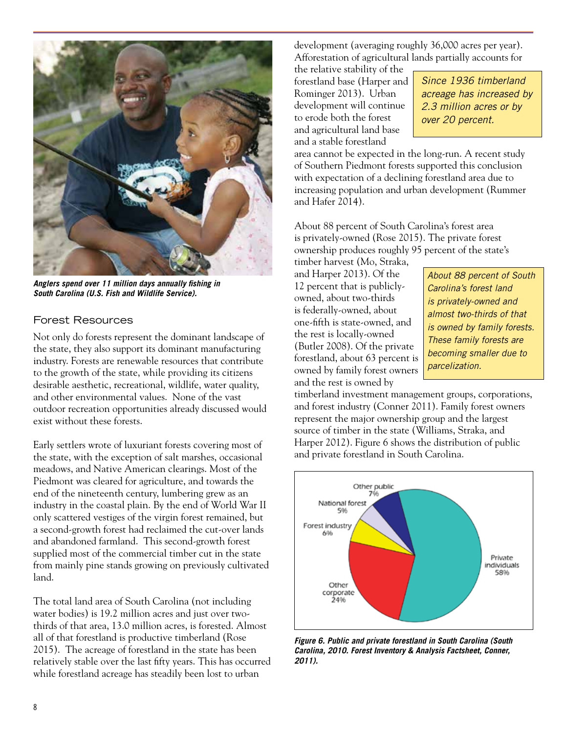

*Anglers spend over 11 million days annually fishing in South Carolina (U.S. Fish and Wildlife Service).*

## Forest Resources

Not only do forests represent the dominant landscape of the state, they also support its dominant manufacturing industry. Forests are renewable resources that contribute to the growth of the state, while providing its citizens desirable aesthetic, recreational, wildlife, water quality, and other environmental values. None of the vast outdoor recreation opportunities already discussed would exist without these forests.

Early settlers wrote of luxuriant forests covering most of the state, with the exception of salt marshes, occasional meadows, and Native American clearings. Most of the Piedmont was cleared for agriculture, and towards the end of the nineteenth century, lumbering grew as an industry in the coastal plain. By the end of World War II only scattered vestiges of the virgin forest remained, but a second-growth forest had reclaimed the cut-over lands and abandoned farmland. This second-growth forest supplied most of the commercial timber cut in the state from mainly pine stands growing on previously cultivated land.

The total land area of South Carolina (not including water bodies) is 19.2 million acres and just over twothirds of that area, 13.0 million acres, is forested. Almost all of that forestland is productive timberland (Rose 2015). The acreage of forestland in the state has been relatively stable over the last fifty years. This has occurred while forestland acreage has steadily been lost to urban

development (averaging roughly 36,000 acres per year). Afforestation of agricultural lands partially accounts for

the relative stability of the forestland base (Harper and Rominger 2013). Urban development will continue to erode both the forest and agricultural land base and a stable forestland

*Since 1936 timberland acreage has increased by 2.3 million acres or by over 20 percent.*

area cannot be expected in the long-run. A recent study of Southern Piedmont forests supported this conclusion with expectation of a declining forestland area due to increasing population and urban development (Rummer and Hafer 2014).

About 88 percent of South Carolina's forest area is privately-owned (Rose 2015). The private forest ownership produces roughly 95 percent of the state's

timber harvest (Mo, Straka, and Harper 2013). Of the 12 percent that is publiclyowned, about two-thirds is federally-owned, about one-fifth is state-owned, and the rest is locally-owned (Butler 2008). Of the private forestland, about 63 percent is owned by family forest owners and the rest is owned by

*About 88 percent of South Carolina's forest land is privately-owned and almost two-thirds of that is owned by family forests. These family forests are becoming smaller due to parcelization.* 

timberland investment management groups, corporations, and forest industry (Conner 2011). Family forest owners represent the major ownership group and the largest source of timber in the state (Williams, Straka, and Harper 2012). Figure 6 shows the distribution of public and private forestland in South Carolina.



*Figure 6. Public and private forestland in South Carolina (South Carolina, 2010. Forest Inventory & Analysis Factsheet, Conner, 2011).*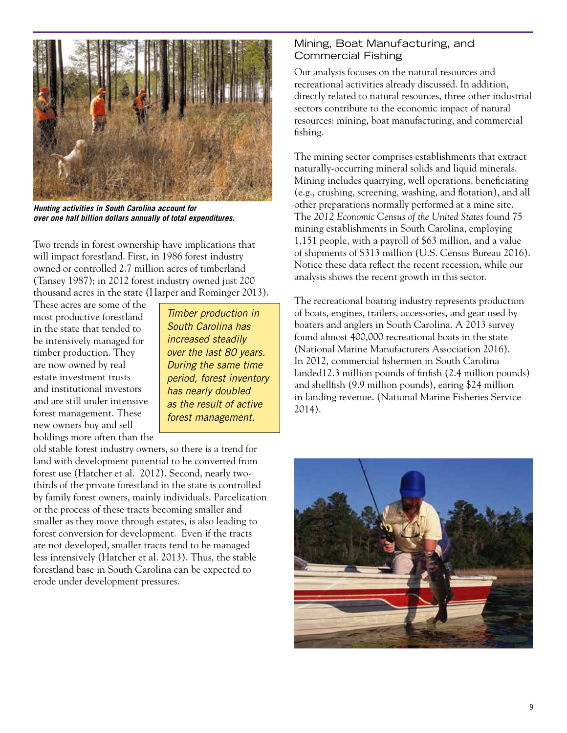

*Hunting activities in South Carolina account for over one half billion dollars annually of total expenditures.* 

Two trends in forest ownership have implications that will impact forestland. First, in 1986 forest industry owned or controlled 2.7 million acres of timberland (Tansey 1987); in 2012 forest industry owned just 200 thousand acres in the state (Harper and Rominger 2013).

These acres are some of the most productive forestland in the state that tended to be intensively managed for timber production. They are now owned by real estate investment trusts and institutional investors and are still under intensive forest management. These new owners buy and sell holdings more often than the

*Timber production in South Carolina has increased steadily over the last 80 years. During the same time period, forest inventory has nearly doubled as the result of active forest management.*

old stable forest industry owners, so there is a trend for land with development potential to be converted from forest use (Hatcher et al. 2012). Second, nearly twothirds of the private forestland in the state is controlled by family forest owners, mainly individuals. Parcelization or the process of these tracts becoming smaller and smaller as they move through estates, is also leading to forest conversion for development. Even if the tracts are not developed, smaller tracts tend to be managed less intensively (Hatcher et al. 2013). Thus, the stable forestland base in South Carolina can be expected to erode under development pressures.

## Mining, Boat Manufacturing, and Commercial Fishing

Our analysis focuses on the natural resources and recreational activities already discussed. In addition, directly related to natural resources, three other industrial sectors contribute to the economic impact of natural resources: mining, boat manufacturing, and commercial fishing.

The mining sector comprises establishments that extract naturally-occurring mineral solids and liquid minerals. Mining includes quarrying, well operations, beneficiating (e.g., crushing, screening, washing, and flotation), and all other preparations normally performed at a mine site. The *2012 Economic Census of the United States* found 75 mining establishments in South Carolina, employing 1,151 people, with a payroll of \$63 million, and a value of shipments of \$313 million (U.S. Census Bureau 2016). Notice these data reflect the recent recession, while our analysis shows the recent growth in this sector.

The recreational boating industry represents production of boats, engines, trailers, accessories, and gear used by boaters and anglers in South Carolina. A 2013 survey found almost 400,000 recreational boats in the state (National Marine Manufacturers Association 2016). In 2012, commercial fishermen in South Carolina landed12.3 million pounds of finfish (2.4 million pounds) and shellfish (9.9 million pounds), earing \$24 million in landing revenue. (National Marine Fisheries Service 2014).

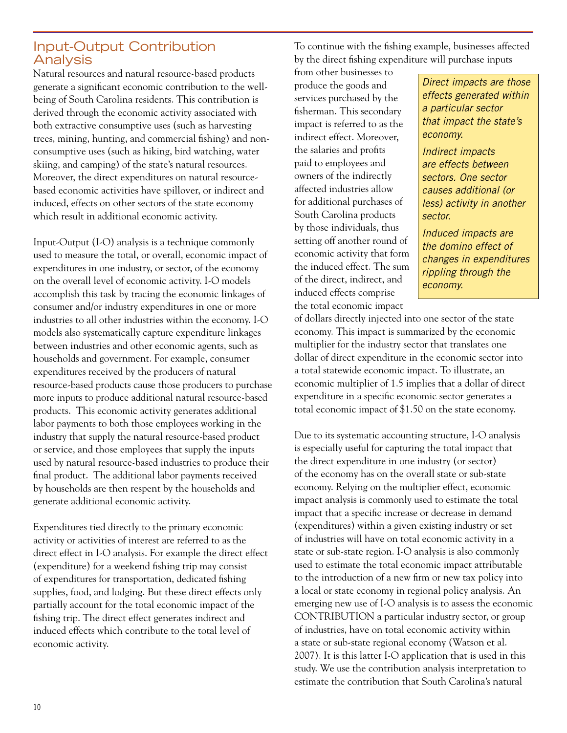# Input-Output Contribution Analysis

Natural resources and natural resource-based products generate a significant economic contribution to the wellbeing of South Carolina residents. This contribution is derived through the economic activity associated with both extractive consumptive uses (such as harvesting trees, mining, hunting, and commercial fishing) and nonconsumptive uses (such as hiking, bird watching, water skiing, and camping) of the state's natural resources. Moreover, the direct expenditures on natural resourcebased economic activities have spillover, or indirect and induced, effects on other sectors of the state economy which result in additional economic activity.

Input-Output (I-O) analysis is a technique commonly used to measure the total, or overall, economic impact of expenditures in one industry, or sector, of the economy on the overall level of economic activity. I-O models accomplish this task by tracing the economic linkages of consumer and/or industry expenditures in one or more industries to all other industries within the economy. I-O models also systematically capture expenditure linkages between industries and other economic agents, such as households and government. For example, consumer expenditures received by the producers of natural resource-based products cause those producers to purchase more inputs to produce additional natural resource-based products. This economic activity generates additional labor payments to both those employees working in the industry that supply the natural resource-based product or service, and those employees that supply the inputs used by natural resource-based industries to produce their final product. The additional labor payments received by households are then respent by the households and generate additional economic activity.

Expenditures tied directly to the primary economic activity or activities of interest are referred to as the direct effect in I-O analysis. For example the direct effect (expenditure) for a weekend fishing trip may consist of expenditures for transportation, dedicated fishing supplies, food, and lodging. But these direct effects only partially account for the total economic impact of the fishing trip. The direct effect generates indirect and induced effects which contribute to the total level of economic activity.

To continue with the fishing example, businesses affected by the direct fishing expenditure will purchase inputs

from other businesses to produce the goods and services purchased by the fisherman. This secondary impact is referred to as the indirect effect. Moreover, the salaries and profits paid to employees and owners of the indirectly affected industries allow for additional purchases of South Carolina products by those individuals, thus setting off another round of economic activity that form the induced effect. The sum of the direct, indirect, and induced effects comprise the total economic impact

*Direct impacts are those effects generated within a particular sector that impact the state's economy.*

*Indirect impacts are effects between sectors. One sector causes additional (or less) activity in another sector.*

*Induced impacts are the domino effect of changes in expenditures rippling through the economy.* 

of dollars directly injected into one sector of the state economy. This impact is summarized by the economic multiplier for the industry sector that translates one dollar of direct expenditure in the economic sector into a total statewide economic impact. To illustrate, an economic multiplier of 1.5 implies that a dollar of direct expenditure in a specific economic sector generates a total economic impact of \$1.50 on the state economy.

Due to its systematic accounting structure, I-O analysis is especially useful for capturing the total impact that the direct expenditure in one industry (or sector) of the economy has on the overall state or sub-state economy. Relying on the multiplier effect, economic impact analysis is commonly used to estimate the total impact that a specific increase or decrease in demand (expenditures) within a given existing industry or set of industries will have on total economic activity in a state or sub-state region. I-O analysis is also commonly used to estimate the total economic impact attributable to the introduction of a new firm or new tax policy into a local or state economy in regional policy analysis. An emerging new use of I-O analysis is to assess the economic CONTRIBUTION a particular industry sector, or group of industries, have on total economic activity within a state or sub-state regional economy (Watson et al. 2007). It is this latter I-O application that is used in this study. We use the contribution analysis interpretation to estimate the contribution that South Carolina's natural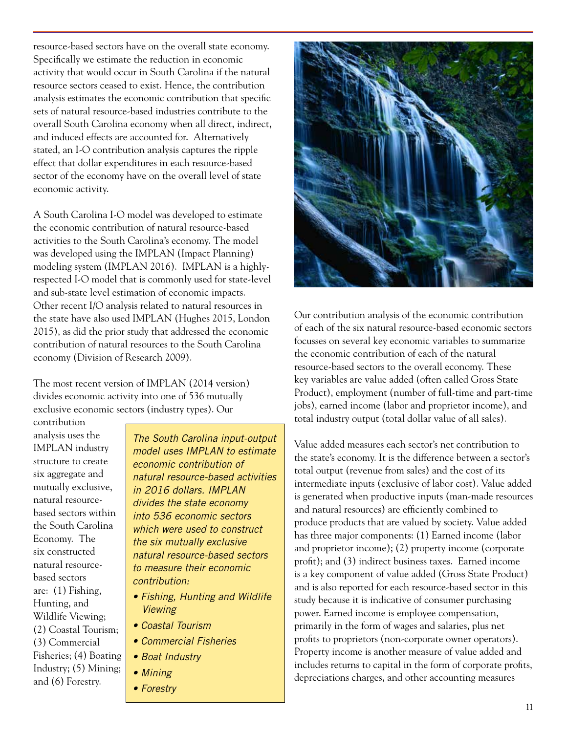resource-based sectors have on the overall state economy. Specifically we estimate the reduction in economic activity that would occur in South Carolina if the natural resource sectors ceased to exist. Hence, the contribution analysis estimates the economic contribution that specific sets of natural resource-based industries contribute to the overall South Carolina economy when all direct, indirect, and induced effects are accounted for. Alternatively stated, an I-O contribution analysis captures the ripple effect that dollar expenditures in each resource-based sector of the economy have on the overall level of state economic activity.

A South Carolina I-O model was developed to estimate the economic contribution of natural resource-based activities to the South Carolina's economy. The model was developed using the IMPLAN (Impact Planning) modeling system (IMPLAN 2016). IMPLAN is a highlyrespected I-O model that is commonly used for state-level and sub-state level estimation of economic impacts. Other recent I/O analysis related to natural resources in the state have also used IMPLAN (Hughes 2015, London 2015), as did the prior study that addressed the economic contribution of natural resources to the South Carolina economy (Division of Research 2009).

The most recent version of IMPLAN (2014 version) divides economic activity into one of 536 mutually exclusive economic sectors (industry types). Our

contribution analysis uses the IMPLAN industry structure to create six aggregate and mutually exclusive, natural resourcebased sectors within the South Carolina Economy. The six constructed natural resourcebased sectors are: (1) Fishing, Hunting, and Wildlife Viewing; (2) Coastal Tourism; (3) Commercial Fisheries; (4) Boating Industry; (5) Mining; and (6) Forestry.

*The South Carolina input-output model uses IMPLAN to estimate economic contribution of natural resource-based activities in 2016 dollars. IMPLAN divides the state economy into 536 economic sectors which were used to construct the six mutually exclusive natural resource-based sectors to measure their economic contribution:*

- *Fishing, Hunting and Wildlife Viewing*
- *Coastal Tourism*
- *Commercial Fisheries*
- *Boat Industry*
- *Mining*
- *Forestry*



Our contribution analysis of the economic contribution of each of the six natural resource-based economic sectors focusses on several key economic variables to summarize the economic contribution of each of the natural resource-based sectors to the overall economy. These key variables are value added (often called Gross State Product), employment (number of full-time and part-time jobs), earned income (labor and proprietor income), and total industry output (total dollar value of all sales).

Value added measures each sector's net contribution to the state's economy. It is the difference between a sector's total output (revenue from sales) and the cost of its intermediate inputs (exclusive of labor cost). Value added is generated when productive inputs (man-made resources and natural resources) are efficiently combined to produce products that are valued by society. Value added has three major components: (1) Earned income (labor and proprietor income); (2) property income (corporate profit); and (3) indirect business taxes. Earned income is a key component of value added (Gross State Product) and is also reported for each resource-based sector in this study because it is indicative of consumer purchasing power. Earned income is employee compensation, primarily in the form of wages and salaries, plus net profits to proprietors (non-corporate owner operators). Property income is another measure of value added and includes returns to capital in the form of corporate profits, depreciations charges, and other accounting measures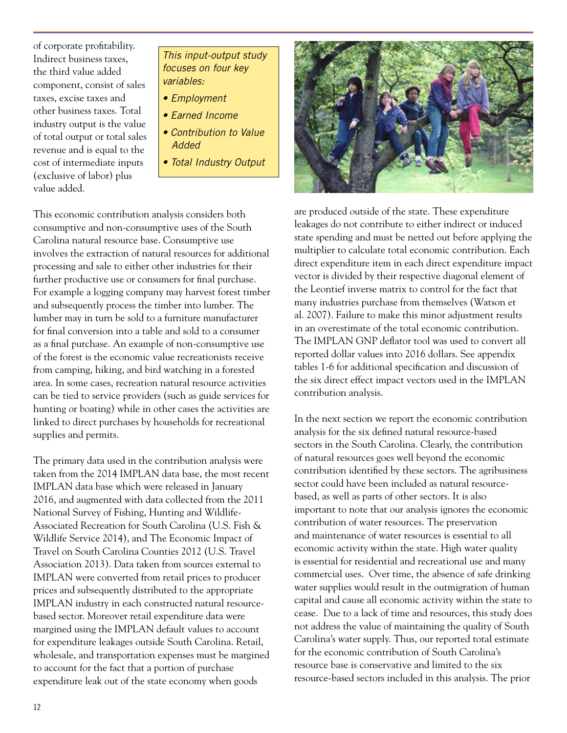of corporate profitability. Indirect business taxes, the third value added component, consist of sales taxes, excise taxes and other business taxes. Total industry output is the value of total output or total sales revenue and is equal to the cost of intermediate inputs (exclusive of labor) plus value added.

- *This input-output study focuses on four key variables:*
- *Employment*
- *Earned Income*
- *Contribution to Value Added*
- *Total Industry Output*

This economic contribution analysis considers both consumptive and non-consumptive uses of the South Carolina natural resource base. Consumptive use involves the extraction of natural resources for additional processing and sale to either other industries for their further productive use or consumers for final purchase. For example a logging company may harvest forest timber and subsequently process the timber into lumber. The lumber may in turn be sold to a furniture manufacturer for final conversion into a table and sold to a consumer as a final purchase. An example of non-consumptive use of the forest is the economic value recreationists receive from camping, hiking, and bird watching in a forested area. In some cases, recreation natural resource activities can be tied to service providers (such as guide services for hunting or boating) while in other cases the activities are linked to direct purchases by households for recreational supplies and permits.

The primary data used in the contribution analysis were taken from the 2014 IMPLAN data base, the most recent IMPLAN data base which were released in January 2016, and augmented with data collected from the 2011 National Survey of Fishing, Hunting and Wildlife-Associated Recreation for South Carolina (U.S. Fish & Wildlife Service 2014), and The Economic Impact of Travel on South Carolina Counties 2012 (U.S. Travel Association 2013). Data taken from sources external to IMPLAN were converted from retail prices to producer prices and subsequently distributed to the appropriate IMPLAN industry in each constructed natural resourcebased sector. Moreover retail expenditure data were margined using the IMPLAN default values to account for expenditure leakages outside South Carolina. Retail, wholesale, and transportation expenses must be margined to account for the fact that a portion of purchase expenditure leak out of the state economy when goods



are produced outside of the state. These expenditure leakages do not contribute to either indirect or induced state spending and must be netted out before applying the multiplier to calculate total economic contribution. Each direct expenditure item in each direct expenditure impact vector is divided by their respective diagonal element of the Leontief inverse matrix to control for the fact that many industries purchase from themselves (Watson et al. 2007). Failure to make this minor adjustment results in an overestimate of the total economic contribution. The IMPLAN GNP deflator tool was used to convert all reported dollar values into 2016 dollars. See appendix tables 1-6 for additional specification and discussion of the six direct effect impact vectors used in the IMPLAN contribution analysis.

In the next section we report the economic contribution analysis for the six defined natural resource-based sectors in the South Carolina. Clearly, the contribution of natural resources goes well beyond the economic contribution identified by these sectors. The agribusiness sector could have been included as natural resourcebased, as well as parts of other sectors. It is also important to note that our analysis ignores the economic contribution of water resources. The preservation and maintenance of water resources is essential to all economic activity within the state. High water quality is essential for residential and recreational use and many commercial uses. Over time, the absence of safe drinking water supplies would result in the outmigration of human capital and cause all economic activity within the state to cease. Due to a lack of time and resources, this study does not address the value of maintaining the quality of South Carolina's water supply. Thus, our reported total estimate for the economic contribution of South Carolina's resource base is conservative and limited to the six resource-based sectors included in this analysis. The prior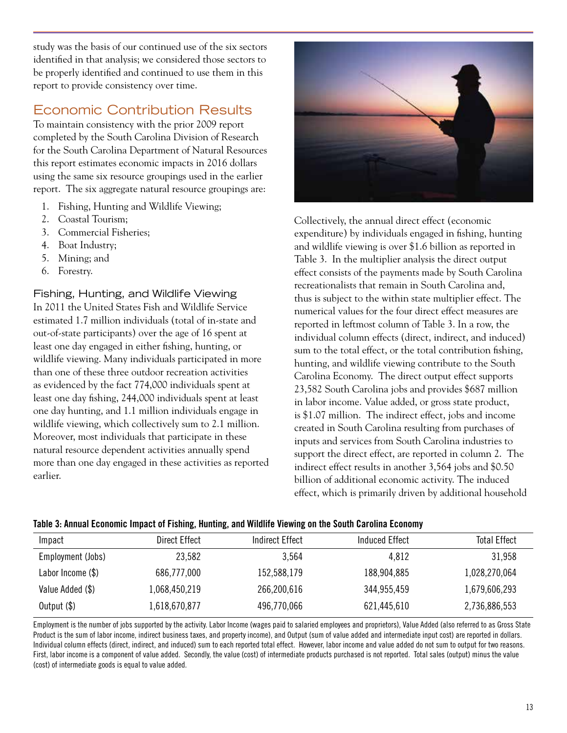study was the basis of our continued use of the six sectors identified in that analysis; we considered those sectors to be properly identified and continued to use them in this report to provide consistency over time.

# Economic Contribution Results

To maintain consistency with the prior 2009 report completed by the South Carolina Division of Research for the South Carolina Department of Natural Resources this report estimates economic impacts in 2016 dollars using the same six resource groupings used in the earlier report. The six aggregate natural resource groupings are:

- 1. Fishing, Hunting and Wildlife Viewing;
- 2. Coastal Tourism;
- 3. Commercial Fisheries;
- 4. Boat Industry;
- 5. Mining; and
- 6. Forestry.

#### Fishing, Hunting, and Wildlife Viewing

In 2011 the United States Fish and Wildlife Service estimated 1.7 million individuals (total of in-state and out-of-state participants) over the age of 16 spent at least one day engaged in either fishing, hunting, or wildlife viewing. Many individuals participated in more than one of these three outdoor recreation activities as evidenced by the fact 774,000 individuals spent at least one day fishing, 244,000 individuals spent at least one day hunting, and 1.1 million individuals engage in wildlife viewing, which collectively sum to 2.1 million. Moreover, most individuals that participate in these natural resource dependent activities annually spend more than one day engaged in these activities as reported earlier.



Collectively, the annual direct effect (economic expenditure) by individuals engaged in fishing, hunting and wildlife viewing is over \$1.6 billion as reported in Table 3. In the multiplier analysis the direct output effect consists of the payments made by South Carolina recreationalists that remain in South Carolina and, thus is subject to the within state multiplier effect. The numerical values for the four direct effect measures are reported in leftmost column of Table 3. In a row, the individual column effects (direct, indirect, and induced) sum to the total effect, or the total contribution fishing, hunting, and wildlife viewing contribute to the South Carolina Economy. The direct output effect supports 23,582 South Carolina jobs and provides \$687 million in labor income. Value added, or gross state product, is \$1.07 million. The indirect effect, jobs and income created in South Carolina resulting from purchases of inputs and services from South Carolina industries to support the direct effect, are reported in column 2. The indirect effect results in another 3,564 jobs and \$0.50 billion of additional economic activity. The induced effect, which is primarily driven by additional household

#### Table 3: Annual Economic Impact of Fishing, Hunting, and Wildlife Viewing on the South Carolina Economy

| Impact            | Direct Effect | Indirect Effect | Induced Effect | <b>Total Effect</b> |
|-------------------|---------------|-----------------|----------------|---------------------|
| Employment (Jobs) | 23,582        | 3,564           | 4,812          | 31,958              |
| Labor Income (\$) | 686,777,000   | 152,588,179     | 188,904,885    | 1,028,270,064       |
| Value Added (\$)  | 1,068,450,219 | 266,200,616     | 344,955,459    | 1,679,606,293       |
| Output $(\$)$     | 1,618,670,877 | 496,770,066     | 621,445,610    | 2,736,886,553       |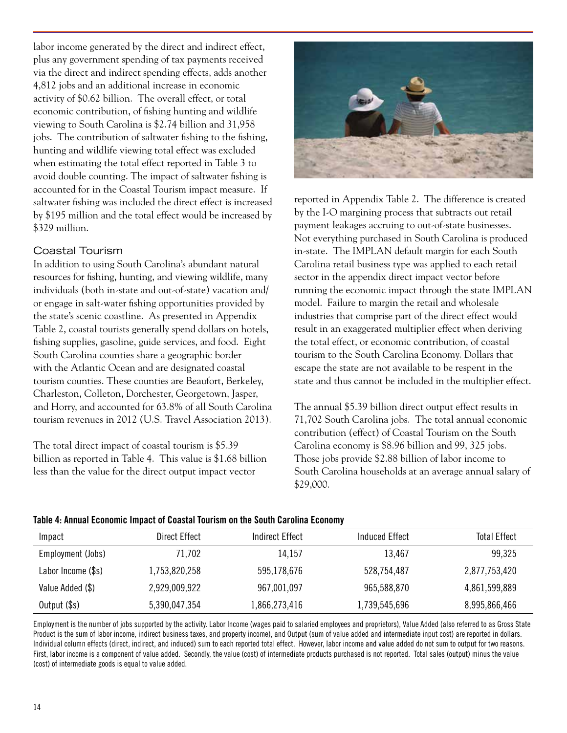labor income generated by the direct and indirect effect, plus any government spending of tax payments received via the direct and indirect spending effects, adds another 4,812 jobs and an additional increase in economic activity of \$0.62 billion. The overall effect, or total economic contribution, of fishing hunting and wildlife viewing to South Carolina is \$2.74 billion and 31,958 jobs. The contribution of saltwater fishing to the fishing, hunting and wildlife viewing total effect was excluded when estimating the total effect reported in Table 3 to avoid double counting. The impact of saltwater fishing is accounted for in the Coastal Tourism impact measure. If saltwater fishing was included the direct effect is increased by \$195 million and the total effect would be increased by \$329 million.

## Coastal Tourism

In addition to using South Carolina's abundant natural resources for fishing, hunting, and viewing wildlife, many individuals (both in-state and out-of-state) vacation and/ or engage in salt-water fishing opportunities provided by the state's scenic coastline. As presented in Appendix Table 2, coastal tourists generally spend dollars on hotels, fishing supplies, gasoline, guide services, and food. Eight South Carolina counties share a geographic border with the Atlantic Ocean and are designated coastal tourism counties. These counties are Beaufort, Berkeley, Charleston, Colleton, Dorchester, Georgetown, Jasper, and Horry, and accounted for 63.8% of all South Carolina tourism revenues in 2012 (U.S. Travel Association 2013).

The total direct impact of coastal tourism is \$5.39 billion as reported in Table 4. This value is \$1.68 billion less than the value for the direct output impact vector



reported in Appendix Table 2. The difference is created by the I-O margining process that subtracts out retail payment leakages accruing to out-of-state businesses. Not everything purchased in South Carolina is produced in-state. The IMPLAN default margin for each South Carolina retail business type was applied to each retail sector in the appendix direct impact vector before running the economic impact through the state IMPLAN model. Failure to margin the retail and wholesale industries that comprise part of the direct effect would result in an exaggerated multiplier effect when deriving the total effect, or economic contribution, of coastal tourism to the South Carolina Economy. Dollars that escape the state are not available to be respent in the state and thus cannot be included in the multiplier effect.

The annual \$5.39 billion direct output effect results in 71,702 South Carolina jobs. The total annual economic contribution (effect) of Coastal Tourism on the South Carolina economy is \$8.96 billion and 99, 325 jobs. Those jobs provide \$2.88 billion of labor income to South Carolina households at an average annual salary of \$29,000.

|  | Table 4: Annual Economic Impact of Coastal Tourism on the South Carolina Economy |
|--|----------------------------------------------------------------------------------|
|--|----------------------------------------------------------------------------------|

| Impact             | Direct Effect | Indirect Effect | Induced Effect | <b>Total Effect</b> |
|--------------------|---------------|-----------------|----------------|---------------------|
| Employment (Jobs)  | 71,702        | 14,157          | 13,467         | 99,325              |
| Labor Income (\$s) | 1,753,820,258 | 595,178,676     | 528,754,487    | 2,877,753,420       |
| Value Added (\$)   | 2,929,009,922 | 967,001,097     | 965,588,870    | 4,861,599,889       |
| Output (\$s)       | 5,390,047,354 | 1,866,273,416   | 1,739,545,696  | 8,995,866,466       |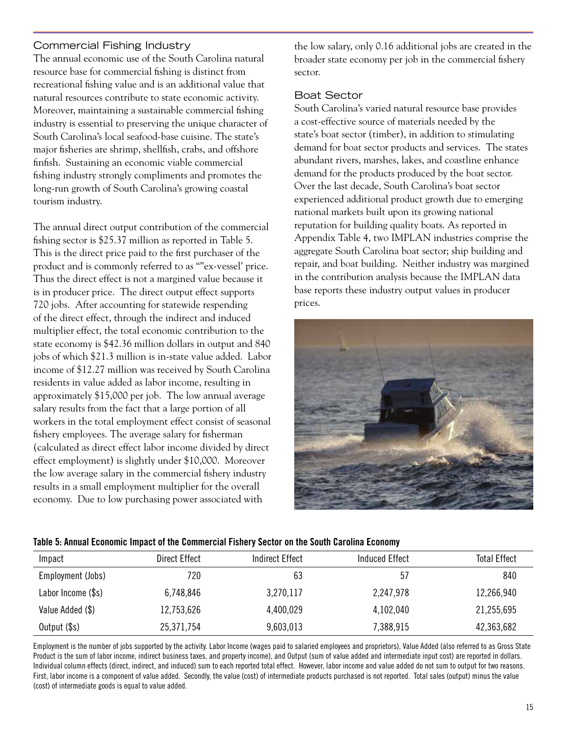# Commercial Fishing Industry

The annual economic use of the South Carolina natural resource base for commercial fishing is distinct from recreational fishing value and is an additional value that natural resources contribute to state economic activity. Moreover, maintaining a sustainable commercial fishing industry is essential to preserving the unique character of South Carolina's local seafood-base cuisine. The state's major fisheries are shrimp, shellfish, crabs, and offshore finfish. Sustaining an economic viable commercial fishing industry strongly compliments and promotes the long-run growth of South Carolina's growing coastal tourism industry.

The annual direct output contribution of the commercial fishing sector is \$25.37 million as reported in Table 5. This is the direct price paid to the first purchaser of the product and is commonly referred to as ""ex-vessel' price. Thus the direct effect is not a margined value because it is in producer price. The direct output effect supports 720 jobs. After accounting for statewide respending of the direct effect, through the indirect and induced multiplier effect, the total economic contribution to the state economy is \$42.36 million dollars in output and 840 jobs of which \$21.3 million is in-state value added. Labor income of \$12.27 million was received by South Carolina residents in value added as labor income, resulting in approximately \$15,000 per job. The low annual average salary results from the fact that a large portion of all workers in the total employment effect consist of seasonal fishery employees. The average salary for fisherman (calculated as direct effect labor income divided by direct effect employment) is slightly under \$10,000. Moreover the low average salary in the commercial fishery industry results in a small employment multiplier for the overall economy. Due to low purchasing power associated with

the low salary, only 0.16 additional jobs are created in the broader state economy per job in the commercial fishery sector.

#### Boat Sector

South Carolina's varied natural resource base provides a cost-effective source of materials needed by the state's boat sector (timber), in addition to stimulating demand for boat sector products and services. The states abundant rivers, marshes, lakes, and coastline enhance demand for the products produced by the boat sector. Over the last decade, South Carolina's boat sector experienced additional product growth due to emerging national markets built upon its growing national reputation for building quality boats. As reported in Appendix Table 4, two IMPLAN industries comprise the aggregate South Carolina boat sector; ship building and repair, and boat building. Neither industry was margined in the contribution analysis because the IMPLAN data base reports these industry output values in producer prices.



| Impact             | Direct Effect | <b>Indirect Effect</b> | <b>Induced Effect</b> | <b>Total Effect</b> |
|--------------------|---------------|------------------------|-----------------------|---------------------|
| Employment (Jobs)  | 720           | 63                     | 57                    | 840                 |
| Labor Income (\$s) | 6,748,846     | 3,270,117              | 2,247,978             | 12,266,940          |
| Value Added (\$)   | 12,753,626    | 4,400,029              | 4,102,040             | 21,255,695          |
| Output (\$s)       | 25,371,754    | 9,603,013              | 7,388,915             | 42,363,682          |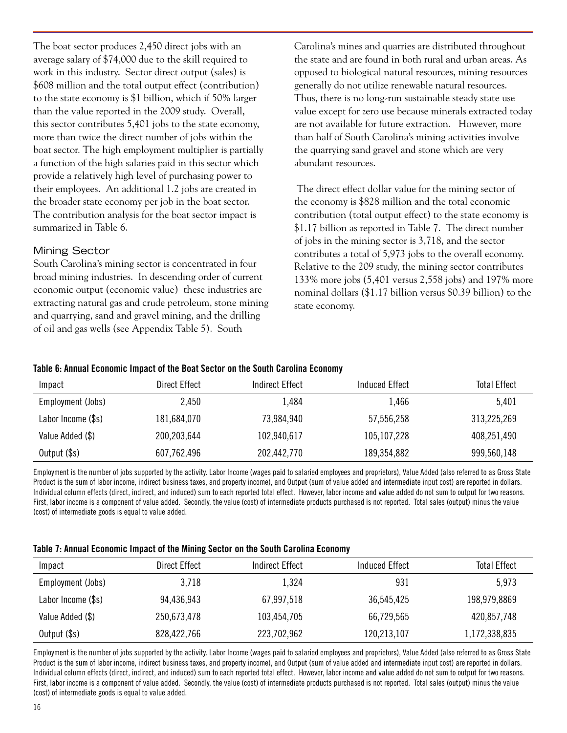The boat sector produces 2,450 direct jobs with an average salary of \$74,000 due to the skill required to work in this industry. Sector direct output (sales) is \$608 million and the total output effect (contribution) to the state economy is \$1 billion, which if 50% larger than the value reported in the 2009 study. Overall, this sector contributes 5,401 jobs to the state economy, more than twice the direct number of jobs within the boat sector. The high employment multiplier is partially a function of the high salaries paid in this sector which provide a relatively high level of purchasing power to their employees. An additional 1.2 jobs are created in the broader state economy per job in the boat sector. The contribution analysis for the boat sector impact is summarized in Table 6.

## Mining Sector

South Carolina's mining sector is concentrated in four broad mining industries. In descending order of current economic output (economic value) these industries are extracting natural gas and crude petroleum, stone mining and quarrying, sand and gravel mining, and the drilling of oil and gas wells (see Appendix Table 5). South

Carolina's mines and quarries are distributed throughout the state and are found in both rural and urban areas. As opposed to biological natural resources, mining resources generally do not utilize renewable natural resources. Thus, there is no long-run sustainable steady state use value except for zero use because minerals extracted today are not available for future extraction. However, more than half of South Carolina's mining activities involve the quarrying sand gravel and stone which are very abundant resources.

 The direct effect dollar value for the mining sector of the economy is \$828 million and the total economic contribution (total output effect) to the state economy is \$1.17 billion as reported in Table 7. The direct number of jobs in the mining sector is 3,718, and the sector contributes a total of 5,973 jobs to the overall economy. Relative to the 209 study, the mining sector contributes 133% more jobs (5,401 versus 2,558 jobs) and 197% more nominal dollars (\$1.17 billion versus \$0.39 billion) to the state economy.

#### Table 6: Annual Economic Impact of the Boat Sector on the South Carolina Economy

| Impact             | Direct Effect | Indirect Effect | Induced Effect | Total Effect |
|--------------------|---------------|-----------------|----------------|--------------|
| Employment (Jobs)  | 2,450         | 1,484           | 1,466          | 5,401        |
| Labor Income (\$s) | 181,684,070   | 73,984,940      | 57,556,258     | 313,225,269  |
| Value Added (\$)   | 200,203,644   | 102,940,617     | 105, 107, 228  | 408,251,490  |
| Output (\$s)       | 607,762,496   | 202,442,770     | 189,354,882    | 999,560,148  |

Employment is the number of jobs supported by the activity. Labor Income (wages paid to salaried employees and proprietors), Value Added (also referred to as Gross State Product is the sum of labor income, indirect business taxes, and property income), and Output (sum of value added and intermediate input cost) are reported in dollars. Individual column effects (direct, indirect, and induced) sum to each reported total effect. However, labor income and value added do not sum to output for two reasons. First, labor income is a component of value added. Secondly, the value (cost) of intermediate products purchased is not reported. Total sales (output) minus the value (cost) of intermediate goods is equal to value added.

#### Table 7: Annual Economic Impact of the Mining Sector on the South Carolina Economy

| Impact             | Direct Effect | Indirect Effect | Induced Effect | Total Effect  |
|--------------------|---------------|-----------------|----------------|---------------|
| Employment (Jobs)  | 3,718         | 1,324           | 931            | 5,973         |
| Labor Income (\$s) | 94,436,943    | 67,997,518      | 36,545,425     | 198,979,8869  |
| Value Added (\$)   | 250,673,478   | 103,454,705     | 66,729,565     | 420,857,748   |
| Output (\$s)       | 828,422,766   | 223,702,962     | 120,213,107    | 1,172,338,835 |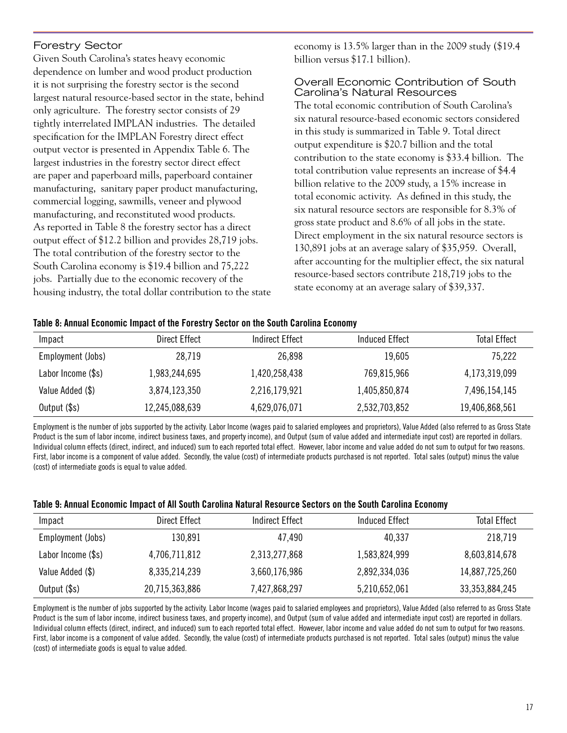# Forestry Sector

Given South Carolina's states heavy economic dependence on lumber and wood product production it is not surprising the forestry sector is the second largest natural resource-based sector in the state, behind only agriculture. The forestry sector consists of 29 tightly interrelated IMPLAN industries. The detailed specification for the IMPLAN Forestry direct effect output vector is presented in Appendix Table 6. The largest industries in the forestry sector direct effect are paper and paperboard mills, paperboard container manufacturing, sanitary paper product manufacturing, commercial logging, sawmills, veneer and plywood manufacturing, and reconstituted wood products. As reported in Table 8 the forestry sector has a direct output effect of \$12.2 billion and provides 28,719 jobs. The total contribution of the forestry sector to the South Carolina economy is \$19.4 billion and 75,222 jobs. Partially due to the economic recovery of the housing industry, the total dollar contribution to the state economy is 13.5% larger than in the 2009 study (\$19.4 billion versus \$17.1 billion).

#### Overall Economic Contribution of South Carolina's Natural Resources

The total economic contribution of South Carolina's six natural resource-based economic sectors considered in this study is summarized in Table 9. Total direct output expenditure is \$20.7 billion and the total contribution to the state economy is \$33.4 billion. The total contribution value represents an increase of \$4.4 billion relative to the 2009 study, a 15% increase in total economic activity. As defined in this study, the six natural resource sectors are responsible for 8.3% of gross state product and 8.6% of all jobs in the state. Direct employment in the six natural resource sectors is 130,891 jobs at an average salary of \$35,959. Overall, after accounting for the multiplier effect, the six natural resource-based sectors contribute 218,719 jobs to the state economy at an average salary of \$39,337.

#### Table 8: Annual Economic Impact of the Forestry Sector on the South Carolina Economy

| Impact             | Direct Effect  | Indirect Effect | Induced Effect | <b>Total Effect</b> |
|--------------------|----------------|-----------------|----------------|---------------------|
| Employment (Jobs)  | 28,719         | 26,898          | 19,605         | 75,222              |
| Labor Income (\$s) | 1,983,244,695  | 1,420,258,438   | 769,815,966    | 4,173,319,099       |
| Value Added (\$)   | 3,874,123,350  | 2,216,179,921   | 1,405,850,874  | 7,496,154,145       |
| Output (\$s)       | 12,245,088,639 | 4,629,076,071   | 2,532,703,852  | 19,406,868,561      |

Employment is the number of jobs supported by the activity. Labor Income (wages paid to salaried employees and proprietors), Value Added (also referred to as Gross State Product is the sum of labor income, indirect business taxes, and property income), and Output (sum of value added and intermediate input cost) are reported in dollars. Individual column effects (direct, indirect, and induced) sum to each reported total effect. However, labor income and value added do not sum to output for two reasons. First, labor income is a component of value added. Secondly, the value (cost) of intermediate products purchased is not reported. Total sales (output) minus the value (cost) of intermediate goods is equal to value added.

#### Table 9: Annual Economic Impact of All South Carolina Natural Resource Sectors on the South Carolina Economy

| Impact             | Direct Effect  | Indirect Effect | Induced Effect | Total Effect   |
|--------------------|----------------|-----------------|----------------|----------------|
| Employment (Jobs)  | 130,891        | 47,490          | 40,337         | 218,719        |
| Labor Income (\$s) | 4,706,711,812  | 2,313,277,868   | 1,583,824,999  | 8,603,814,678  |
| Value Added (\$)   | 8,335,214,239  | 3,660,176,986   | 2,892,334,036  | 14,887,725,260 |
| Output (\$s)       | 20,715,363,886 | 7,427,868,297   | 5,210,652,061  | 33,353,884,245 |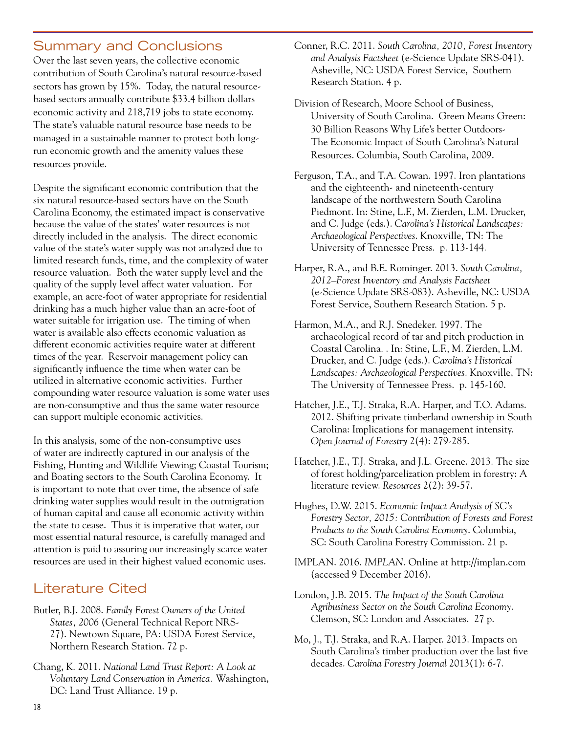# Summary and Conclusions

Over the last seven years, the collective economic contribution of South Carolina's natural resource-based sectors has grown by 15%. Today, the natural resourcebased sectors annually contribute \$33.4 billion dollars economic activity and 218,719 jobs to state economy. The state's valuable natural resource base needs to be managed in a sustainable manner to protect both longrun economic growth and the amenity values these resources provide.

Despite the significant economic contribution that the six natural resource-based sectors have on the South Carolina Economy, the estimated impact is conservative because the value of the states' water resources is not directly included in the analysis. The direct economic value of the state's water supply was not analyzed due to limited research funds, time, and the complexity of water resource valuation. Both the water supply level and the quality of the supply level affect water valuation. For example, an acre-foot of water appropriate for residential drinking has a much higher value than an acre-foot of water suitable for irrigation use. The timing of when water is available also effects economic valuation as different economic activities require water at different times of the year. Reservoir management policy can significantly influence the time when water can be utilized in alternative economic activities. Further compounding water resource valuation is some water uses are non-consumptive and thus the same water resource can support multiple economic activities.

In this analysis, some of the non-consumptive uses of water are indirectly captured in our analysis of the Fishing, Hunting and Wildlife Viewing; Coastal Tourism; and Boating sectors to the South Carolina Economy. It is important to note that over time, the absence of safe drinking water supplies would result in the outmigration of human capital and cause all economic activity within the state to cease. Thus it is imperative that water, our most essential natural resource, is carefully managed and attention is paid to assuring our increasingly scarce water resources are used in their highest valued economic uses.

# Literature Cited

- Butler, B.J. 2008. *Family Forest Owners of the United States, 2006* (General Technical Report NRS-27). Newtown Square, PA: USDA Forest Service, Northern Research Station. 72 p.
- Chang, K. 2011. *National Land Trust Report: A Look at Voluntary Land Conservation in America.* Washington, DC: Land Trust Alliance. 19 p.
- Conner, R.C. 2011. *South Carolina, 2010, Forest Inventory and Analysis Factsheet* (e-Science Update SRS-041). Asheville, NC: USDA Forest Service, Southern Research Station. 4 p.
- Division of Research, Moore School of Business, University of South Carolina. Green Means Green: 30 Billion Reasons Why Life's better Outdoors-The Economic Impact of South Carolina's Natural Resources. Columbia, South Carolina, 2009.
- Ferguson, T.A., and T.A. Cowan. 1997. Iron plantations and the eighteenth- and nineteenth-century landscape of the northwestern South Carolina Piedmont. In: Stine, L.F., M. Zierden, L.M. Drucker, and C. Judge (eds.). *Carolina's Historical Landscapes: Archaeological Perspectives*. Knoxville, TN: The University of Tennessee Press. p. 113-144.
- Harper, R.A., and B.E. Rominger. 2013. *South Carolina, 2012–Forest Inventory and Analysis Factsheet* (e-Science Update SRS-083). Asheville, NC: USDA Forest Service, Southern Research Station. 5 p.
- Harmon, M.A., and R.J. Snedeker. 1997. The archaeological record of tar and pitch production in Coastal Carolina. . In: Stine, L.F., M. Zierden, L.M. Drucker, and C. Judge (eds.). *Carolina's Historical Landscapes: Archaeological Perspectives*. Knoxville, TN: The University of Tennessee Press. p. 145-160.
- Hatcher, J.E., T.J. Straka, R.A. Harper, and T.O. Adams. 2012. Shifting private timberland ownership in South Carolina: Implications for management intensity. *Open Journal of Forestry* 2(4): 279-285.
- Hatcher, J.E., T.J. Straka, and J.L. Greene. 2013. The size of forest holding/parcelization problem in forestry: A literature review. *Resources* 2(2): 39-57.
- Hughes, D.W. 2015. *Economic Impact Analysis of SC's Forestry Sector, 2015: Contribution of Forests and Forest Products to the South Carolina Economy*. Columbia, SC: South Carolina Forestry Commission. 21 p.
- IMPLAN. 2016. *IMPLAN*. Online at http://implan.com (accessed 9 December 2016).
- London, J.B. 2015. *The Impact of the South Carolina Agribusiness Sector on the South Carolina Economy*. Clemson, SC: London and Associates. 27 p.
- Mo, J., T.J. Straka, and R.A. Harper. 2013. Impacts on South Carolina's timber production over the last five decades. *Carolina Forestry Journal* 2013(1): 6-7.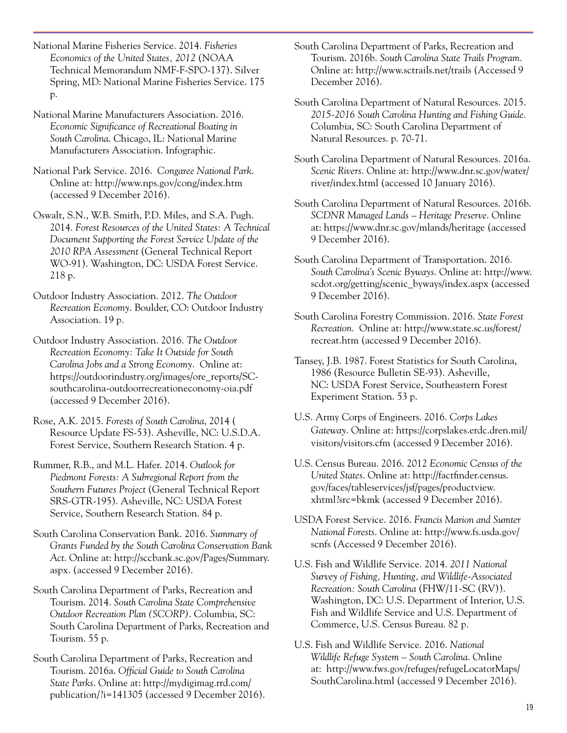National Marine Fisheries Service. 2014. *Fisheries Economics of the United States, 2012* (NOAA Technical Memorandum NMF-F-SPO-137). Silver Spring, MD: National Marine Fisheries Service. 175 p.

National Marine Manufacturers Association. 2016. *Economic Significance of Recreational Boating in South Carolina*. Chicago, IL: National Marine Manufacturers Association. Infographic.

National Park Service. 2016. *Congaree National Park*. Online at: http://www.nps.gov/cong/index.htm (accessed 9 December 2016).

Oswalt, S.N., W.B. Smith, P.D. Miles, and S.A. Pugh. 2014. *Forest Resources of the United States: A Technical Document Supporting the Forest Service Update of the 2010 RPA Assessment* (General Technical Report WO-91). Washington, DC: USDA Forest Service. 218 p.

Outdoor Industry Association. 2012. *The Outdoor Recreation Economy*. Boulder, CO: Outdoor Industry Association. 19 p.

Outdoor Industry Association. 2016. *The Outdoor Recreation Economy: Take It Outside for South Carolina Jobs and a Strong Economy*. Online at: https://outdoorindustry.org/images/ore\_reports/SCsouthcarolina-outdoorrecreationeconomy-oia.pdf (accessed 9 December 2016).

Rose, A.K. 2015. *Forests of South Carolina*, 2014 ( Resource Update FS-53). Asheville, NC: U.S.D.A. Forest Service, Southern Research Station. 4 p.

Rummer, R.B., and M.L. Hafer. 2014. *Outlook for Piedmont Forests: A Subregional Report from the Southern Futures Project* (General Technical Report SRS-GTR-195). Asheville, NC: USDA Forest Service, Southern Research Station. 84 p.

South Carolina Conservation Bank. 2016. *Summary of Grants Funded by the South Carolina Conservation Bank Act*. Online at: http://sccbank.sc.gov/Pages/Summary. aspx. (accessed 9 December 2016).

South Carolina Department of Parks, Recreation and Tourism. 2014. *South Carolina State Comprehensive Outdoor Recreation Plan (SCORP)*. Columbia, SC: South Carolina Department of Parks, Recreation and Tourism. 55 p.

South Carolina Department of Parks, Recreation and Tourism. 2016a. *Official Guide to South Carolina State Parks*. Online at: http://mydigimag.rrd.com/ publication/?i=141305 (accessed 9 December 2016). South Carolina Department of Parks, Recreation and Tourism. 2016b. *South Carolina State Trails Program*. Online at: http://www.sctrails.net/trails (Accessed 9 December 2016).

South Carolina Department of Natural Resources. 2015. *2015-2016 South Carolina Hunting and Fishing Guide*. Columbia, SC: South Carolina Department of Natural Resources. p. 70-71.

South Carolina Department of Natural Resources. 2016a. *Scenic Rivers*. Online at: http://www.dnr.sc.gov/water/ river/index.html (accessed 10 January 2016).

South Carolina Department of Natural Resources. 2016b. *SCDNR Managed Lands – Heritage Preserve*. Online at: https://www.dnr.sc.gov/mlands/heritage (accessed 9 December 2016).

South Carolina Department of Transportation. 2016. *South Carolina's Scenic Byways*. Online at: http://www. scdot.org/getting/scenic\_byways/index.aspx (accessed 9 December 2016).

South Carolina Forestry Commission. 2016. *State Forest Recreation*. Online at: http://www.state.sc.us/forest/ recreat.htm (accessed 9 December 2016).

Tansey, J.B. 1987. Forest Statistics for South Carolina, 1986 (Resource Bulletin SE-93). Asheville, NC: USDA Forest Service, Southeastern Forest Experiment Station. 53 p.

U.S. Army Corps of Engineers. 2016. *Corps Lakes Gateway*. Online at: https://corpslakes.erdc.dren.mil/ visitors/visitors.cfm (accessed 9 December 2016).

U.S. Census Bureau. 2016. 2012 *Economic Census of the United States*. Online at: http://factfinder.census. gov/faces/tableservices/jsf/pages/productview. xhtml?src=bkmk (accessed 9 December 2016).

USDA Forest Service. 2016. *Francis Marion and Sumter National Forests*. Online at: http://www.fs.usda.gov/ scnfs (Accessed 9 December 2016).

U.S. Fish and Wildlife Service. 2014. *2011 National Survey of Fishing, Hunting, and Wildlife-Associated Recreation: South Carolina* (FHW/11-SC (RV)). Washington, DC: U.S. Department of Interior, U.S. Fish and Wildlife Service and U.S. Department of Commerce, U.S. Census Bureau. 82 p.

U.S. Fish and Wildlife Service. 2016. *National Wildlife Refuge System – South Carolina*. Online at: http://www.fws.gov/refuges/refugeLocatorMaps/ SouthCarolina.html (accessed 9 December 2016).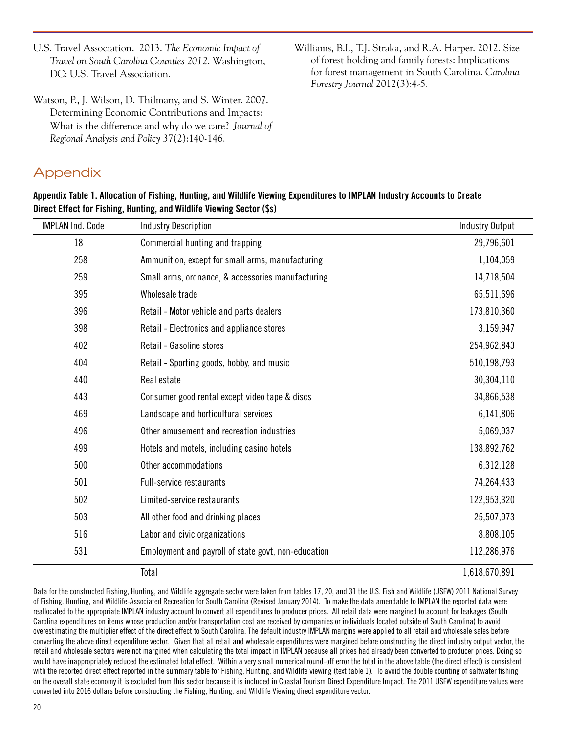- U.S. Travel Association. 2013. *The Economic Impact of Travel on South Carolina Counties 2012*. Washington, DC: U.S. Travel Association.
- Watson, P., J. Wilson, D. Thilmany, and S. Winter. 2007. Determining Economic Contributions and Impacts: What is the difference and why do we care? *Journal of Regional Analysis and Policy* 37(2):140-146.

# Appendix

Williams, B.L, T.J. Straka, and R.A. Harper. 2012. Size of forest holding and family forests: Implications for forest management in South Carolina. *Carolina Forestry Journal* 2012(3):4-5.

| Appendix Table 1. Allocation of Fishing, Hunting, and Wildlife Viewing Expenditures to IMPLAN Industry Accounts to Create |
|---------------------------------------------------------------------------------------------------------------------------|
| Direct Effect for Fishing, Hunting, and Wildlife Viewing Sector (\$s)                                                     |

| <b>IMPLAN Ind. Code</b> | <b>Industry Description</b>                         | <b>Industry Output</b> |
|-------------------------|-----------------------------------------------------|------------------------|
| 18                      | Commercial hunting and trapping                     | 29,796,601             |
| 258                     | Ammunition, except for small arms, manufacturing    | 1,104,059              |
| 259                     | Small arms, ordnance, & accessories manufacturing   | 14,718,504             |
| 395                     | Wholesale trade                                     | 65,511,696             |
| 396                     | Retail - Motor vehicle and parts dealers            | 173,810,360            |
| 398                     | Retail - Electronics and appliance stores           | 3,159,947              |
| 402                     | Retail - Gasoline stores                            | 254,962,843            |
| 404                     | Retail - Sporting goods, hobby, and music           | 510,198,793            |
| 440                     | Real estate                                         | 30,304,110             |
| 443                     | Consumer good rental except video tape & discs      | 34,866,538             |
| 469                     | Landscape and horticultural services                | 6,141,806              |
| 496                     | Other amusement and recreation industries           | 5,069,937              |
| 499                     | Hotels and motels, including casino hotels          | 138,892,762            |
| 500                     | Other accommodations                                | 6,312,128              |
| 501                     | <b>Full-service restaurants</b>                     | 74,264,433             |
| 502                     | Limited-service restaurants                         | 122,953,320            |
| 503                     | All other food and drinking places                  | 25,507,973             |
| 516                     | Labor and civic organizations                       | 8,808,105              |
| 531                     | Employment and payroll of state govt, non-education | 112,286,976            |
|                         | Total                                               | 1,618,670,891          |

Data for the constructed Fishing, Hunting, and Wildlife aggregate sector were taken from tables 17, 20, and 31 the U.S. Fish and Wildlife (USFW) 2011 National Survey of Fishing, Hunting, and Wildlife-Associated Recreation for South Carolina (Revised January 2014). To make the data amendable to IMPLAN the reported data were reallocated to the appropriate IMPLAN industry account to convert all expenditures to producer prices. All retail data were margined to account for leakages (South Carolina expenditures on items whose production and/or transportation cost are received by companies or individuals located outside of South Carolina) to avoid overestimating the multiplier effect of the direct effect to South Carolina. The default industry IMPLAN margins were applied to all retail and wholesale sales before converting the above direct expenditure vector. Given that all retail and wholesale expenditures were margined before constructing the direct industry output vector, the retail and wholesale sectors were not margined when calculating the total impact in IMPLAN because all prices had already been converted to producer prices. Doing so would have inappropriately reduced the estimated total effect. Within a very small numerical round-off error the total in the above table (the direct effect) is consistent with the reported direct effect reported in the summary table for Fishing, Hunting, and Wildlife viewing (text table 1). To avoid the double counting of saltwater fishing on the overall state economy it is excluded from this sector because it is included in Coastal Tourism Direct Expenditure Impact. The 2011 USFW expenditure values were converted into 2016 dollars before constructing the Fishing, Hunting, and Wildlife Viewing direct expenditure vector.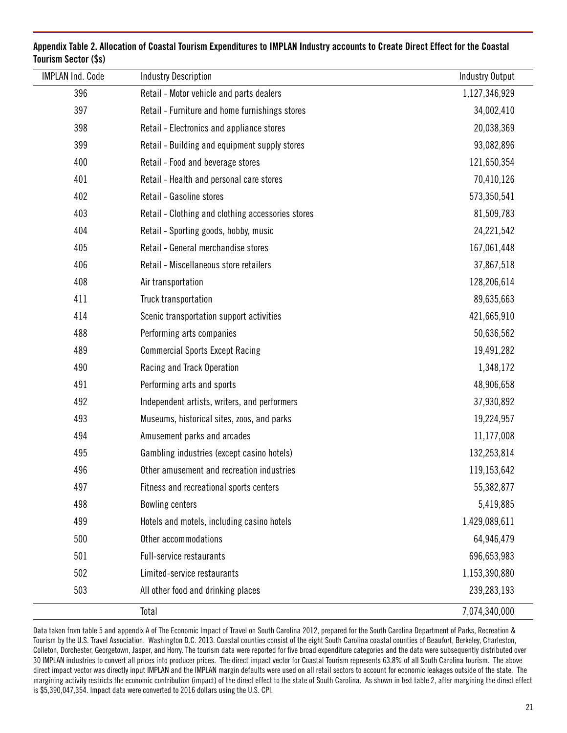| <b>IMPLAN Ind. Code</b> | <b>Industry Description</b>                       | <b>Industry Output</b> |
|-------------------------|---------------------------------------------------|------------------------|
| 396                     | Retail - Motor vehicle and parts dealers          | 1,127,346,929          |
| 397                     | Retail - Furniture and home furnishings stores    | 34,002,410             |
| 398                     | Retail - Electronics and appliance stores         | 20,038,369             |
| 399                     | Retail - Building and equipment supply stores     | 93,082,896             |
| 400                     | Retail - Food and beverage stores                 | 121,650,354            |
| 401                     | Retail - Health and personal care stores          | 70,410,126             |
| 402                     | Retail - Gasoline stores                          | 573,350,541            |
| 403                     | Retail - Clothing and clothing accessories stores | 81,509,783             |
| 404                     | Retail - Sporting goods, hobby, music             | 24,221,542             |
| 405                     | Retail - General merchandise stores               | 167,061,448            |
| 406                     | Retail - Miscellaneous store retailers            | 37,867,518             |
| 408                     | Air transportation                                | 128,206,614            |
| 411                     | Truck transportation                              | 89,635,663             |
| 414                     | Scenic transportation support activities          | 421,665,910            |
| 488                     | Performing arts companies                         | 50,636,562             |
| 489                     | <b>Commercial Sports Except Racing</b>            | 19,491,282             |
| 490                     | Racing and Track Operation                        | 1,348,172              |
| 491                     | Performing arts and sports                        | 48,906,658             |
| 492                     | Independent artists, writers, and performers      | 37,930,892             |
| 493                     | Museums, historical sites, zoos, and parks        | 19,224,957             |
| 494                     | Amusement parks and arcades                       | 11,177,008             |
| 495                     | Gambling industries (except casino hotels)        | 132,253,814            |
| 496                     | Other amusement and recreation industries         | 119,153,642            |
| 497                     | Fitness and recreational sports centers           | 55,382,877             |
| 498                     | <b>Bowling centers</b>                            | 5,419,885              |
| 499                     | Hotels and motels, including casino hotels        | 1,429,089,611          |
| 500                     | Other accommodations                              | 64,946,479             |
| 501                     | <b>Full-service restaurants</b>                   | 696,653,983            |
| 502                     | Limited-service restaurants                       | 1,153,390,880          |
| 503                     | All other food and drinking places                | 239,283,193            |
|                         | Total                                             | 7,074,340,000          |

Appendix Table 2. Allocation of Coastal Tourism Expenditures to IMPLAN Industry accounts to Create Direct Effect for the Coastal Tourism Sector (\$s)

Data taken from table 5 and appendix A of The Economic Impact of Travel on South Carolina 2012, prepared for the South Carolina Department of Parks, Recreation & Tourism by the U.S. Travel Association. Washington D.C. 2013. Coastal counties consist of the eight South Carolina coastal counties of Beaufort, Berkeley, Charleston, Colleton, Dorchester, Georgetown, Jasper, and Horry. The tourism data were reported for five broad expenditure categories and the data were subsequently distributed over 30 IMPLAN industries to convert all prices into producer prices. The direct impact vector for Coastal Tourism represents 63.8% of all South Carolina tourism. The above direct impact vector was directly input IMPLAN and the IMPLAN margin defaults were used on all retail sectors to account for economic leakages outside of the state. The margining activity restricts the economic contribution (impact) of the direct effect to the state of South Carolina. As shown in text table 2, after margining the direct effect is \$5,390,047,354. Impact data were converted to 2016 dollars using the U.S. CPI.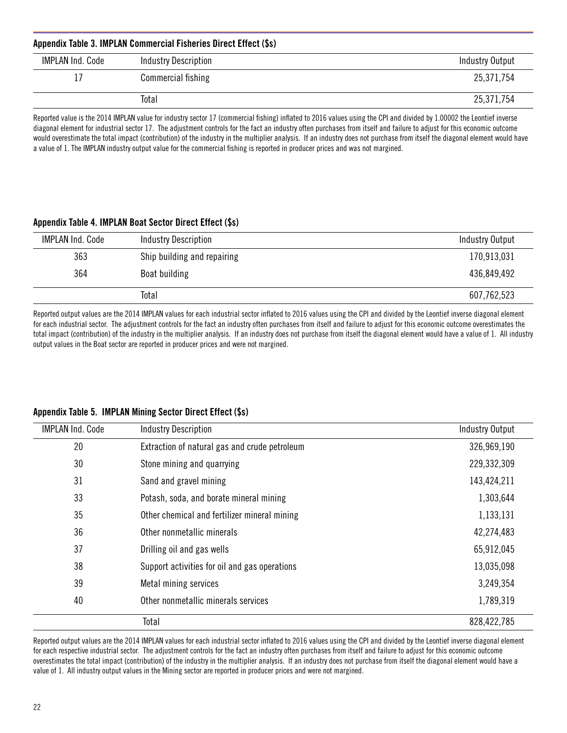| Appendix Table 3. IMPLAN Commercial Fisheries Direct Effect (\$s) |                             |                 |
|-------------------------------------------------------------------|-----------------------------|-----------------|
| IMPLAN Ind. Code                                                  | <b>Industry Description</b> | Industry Output |
|                                                                   | Commercial fishing          | 25,371,754      |
|                                                                   | Total                       | 25,371,754      |

Reported value is the 2014 IMPLAN value for industry sector 17 (commercial fishing) inflated to 2016 values using the CPI and divided by 1.00002 the Leontief inverse diagonal element for industrial sector 17. The adjustment controls for the fact an industry often purchases from itself and failure to adjust for this economic outcome would overestimate the total impact (contribution) of the industry in the multiplier analysis. If an industry does not purchase from itself the diagonal element would have a value of 1. The IMPLAN industry output value for the commercial fishing is reported in producer prices and was not margined.

#### Appendix Table 4. IMPLAN Boat Sector Direct Effect (\$s)

| <b>IMPLAN Ind. Code</b> | <b>Industry Description</b> | <b>Industry Output</b> |
|-------------------------|-----------------------------|------------------------|
| 363                     | Ship building and repairing | 170,913,031            |
| 364                     | Boat building               | 436,849,492            |
|                         | Total                       | 607,762,523            |

Reported output values are the 2014 IMPLAN values for each industrial sector inflated to 2016 values using the CPI and divided by the Leontief inverse diagonal element for each industrial sector. The adjustment controls for the fact an industry often purchases from itself and failure to adjust for this economic outcome overestimates the total impact (contribution) of the industry in the multiplier analysis. If an industry does not purchase from itself the diagonal element would have a value of 1. All industry output values in the Boat sector are reported in producer prices and were not margined.

#### Appendix Table 5. IMPLAN Mining Sector Direct Effect (\$s)

| <b>IMPLAN Ind. Code</b> | <b>Industry Description</b>                   | <b>Industry Output</b> |
|-------------------------|-----------------------------------------------|------------------------|
| 20                      | Extraction of natural gas and crude petroleum | 326,969,190            |
| 30                      | Stone mining and quarrying                    | 229,332,309            |
| 31                      | Sand and gravel mining                        | 143,424,211            |
| 33                      | Potash, soda, and borate mineral mining       | 1,303,644              |
| 35                      | Other chemical and fertilizer mineral mining  | 1,133,131              |
| 36                      | Other nonmetallic minerals                    | 42,274,483             |
| 37                      | Drilling oil and gas wells                    | 65,912,045             |
| 38                      | Support activities for oil and gas operations | 13,035,098             |
| 39                      | Metal mining services                         | 3,249,354              |
| 40                      | Other nonmetallic minerals services           | 1,789,319              |
|                         | Total                                         | 828,422,785            |

Reported output values are the 2014 IMPLAN values for each industrial sector inflated to 2016 values using the CPI and divided by the Leontief inverse diagonal element for each respective industrial sector. The adjustment controls for the fact an industry often purchases from itself and failure to adjust for this economic outcome overestimates the total impact (contribution) of the industry in the multiplier analysis. If an industry does not purchase from itself the diagonal element would have a value of 1. All industry output values in the Mining sector are reported in producer prices and were not margined.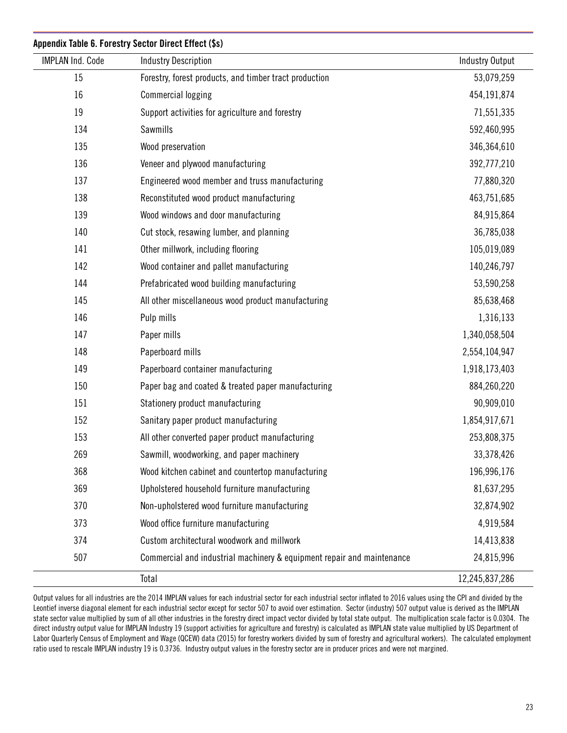| <b>IMPLAN Ind. Code</b> | <b>Industry Description</b>                                            | <b>Industry Output</b> |
|-------------------------|------------------------------------------------------------------------|------------------------|
| 15                      | Forestry, forest products, and timber tract production                 | 53,079,259             |
| 16                      | <b>Commercial logging</b>                                              | 454,191,874            |
| 19                      | Support activities for agriculture and forestry                        | 71,551,335             |
| 134                     | Sawmills                                                               | 592,460,995            |
| 135                     | Wood preservation                                                      | 346,364,610            |
| 136                     | Veneer and plywood manufacturing                                       | 392,777,210            |
| 137                     | Engineered wood member and truss manufacturing                         | 77,880,320             |
| 138                     | Reconstituted wood product manufacturing                               | 463,751,685            |
| 139                     | Wood windows and door manufacturing                                    | 84,915,864             |
| 140                     | Cut stock, resawing lumber, and planning                               | 36,785,038             |
| 141                     | Other millwork, including flooring                                     | 105,019,089            |
| 142                     | Wood container and pallet manufacturing                                | 140,246,797            |
| 144                     | Prefabricated wood building manufacturing                              | 53,590,258             |
| 145                     | All other miscellaneous wood product manufacturing                     | 85,638,468             |
| 146                     | Pulp mills                                                             | 1,316,133              |
| 147                     | Paper mills                                                            | 1,340,058,504          |
| 148                     | Paperboard mills                                                       | 2,554,104,947          |
| 149                     | Paperboard container manufacturing                                     | 1,918,173,403          |
| 150                     | Paper bag and coated & treated paper manufacturing                     | 884,260,220            |
| 151                     | Stationery product manufacturing                                       | 90,909,010             |
| 152                     | Sanitary paper product manufacturing                                   | 1,854,917,671          |
| 153                     | All other converted paper product manufacturing                        | 253,808,375            |
| 269                     | Sawmill, woodworking, and paper machinery                              | 33,378,426             |
| 368                     | Wood kitchen cabinet and countertop manufacturing                      | 196,996,176            |
| 369                     | Upholstered household furniture manufacturing                          | 81,637,295             |
| 370                     | Non-upholstered wood furniture manufacturing                           | 32,874,902             |
| 373                     | Wood office furniture manufacturing                                    | 4,919,584              |
| 374                     | Custom architectural woodwork and millwork                             | 14,413,838             |
| 507                     | Commercial and industrial machinery & equipment repair and maintenance | 24,815,996             |
|                         | Total                                                                  | 12,245,837,286         |

Output values for all industries are the 2014 IMPLAN values for each industrial sector for each industrial sector inflated to 2016 values using the CPI and divided by the Leontief inverse diagonal element for each industrial sector except for sector 507 to avoid over estimation. Sector (industry) 507 output value is derived as the IMPLAN state sector value multiplied by sum of all other industries in the forestry direct impact vector divided by total state output. The multiplication scale factor is 0.0304. The direct industry output value for IMPLAN Industry 19 (support activities for agriculture and forestry) is calculated as IMPLAN state value multiplied by US Department of Labor Quarterly Census of Employment and Wage (QCEW) data (2015) for forestry workers divided by sum of forestry and agricultural workers). The calculated employment ratio used to rescale IMPLAN industry 19 is 0.3736. Industry output values in the forestry sector are in producer prices and were not margined.